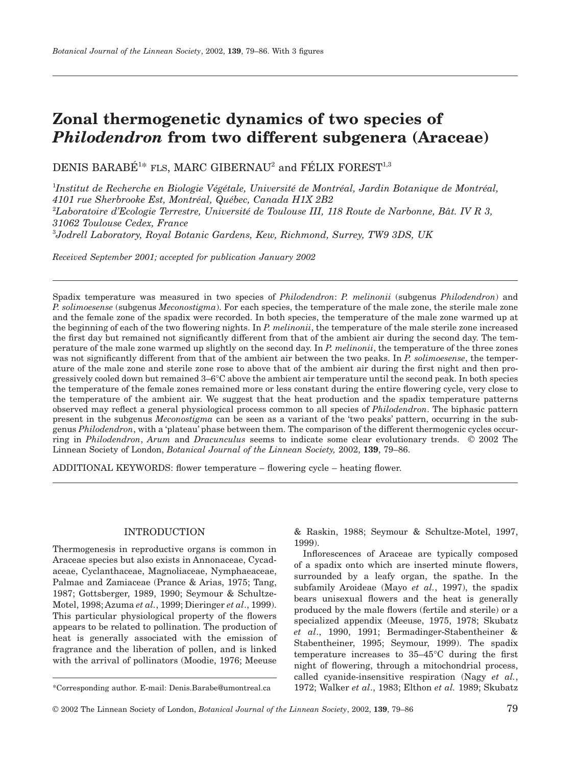# **Zonal thermogenetic dynamics of two species of** *Philodendron* **from two different subgenera (Araceae)**

 $\tt DENIS~BARABÉ^{1*}~FLS,~MARC~GIBERNAU^2$  and  $\tt FÉLIX~FOREST^{1,3}$ 

1 *Institut de Recherche en Biologie Végétale, Université de Montréal, Jardin Botanique de Montréal, 4101 rue Sherbrooke Est, Montréal, Québec, Canada H1X 2B2* 2 *Laboratoire d'Ecologie Terrestre, Université de Toulouse III, 118 Route de Narbonne, Bât. IV R 3, 31062 Toulouse Cedex, France* 3 *Jodrell Laboratory, Royal Botanic Gardens, Kew, Richmond, Surrey, TW9 3DS, UK*

*Received September 2001; accepted for publication January 2002*

Spadix temperature was measured in two species of *Philodendron*: *P. melinonii* (subgenus *Philodendron*) and *P. solimoesense* (subgenus *Meconostigma*). For each species, the temperature of the male zone, the sterile male zone and the female zone of the spadix were recorded. In both species, the temperature of the male zone warmed up at the beginning of each of the two flowering nights. In *P. melinonii*, the temperature of the male sterile zone increased the first day but remained not significantly different from that of the ambient air during the second day. The temperature of the male zone warmed up slightly on the second day. In *P. melinonii*, the temperature of the three zones was not significantly different from that of the ambient air between the two peaks. In *P. solimoesense*, the temperature of the male zone and sterile zone rose to above that of the ambient air during the first night and then progressively cooled down but remained 3–6°C above the ambient air temperature until the second peak. In both species the temperature of the female zones remained more or less constant during the entire flowering cycle, very close to the temperature of the ambient air. We suggest that the heat production and the spadix temperature patterns observed may reflect a general physiological process common to all species of *Philodendron*. The biphasic pattern present in the subgenus *Meconostigma* can be seen as a variant of the 'two peaks' pattern, occurring in the subgenus *Philodendron*, with a 'plateau' phase between them. The comparison of the different thermogenic cycles occurring in *Philodendron*, *Arum* and *Dracunculus* seems to indicate some clear evolutionary trends. © 2002 The Linnean Society of London, *Botanical Journal of the Linnean Society,* 2002, **139**, 79–86.

ADDITIONAL KEYWORDS: flower temperature – flowering cycle – heating flower.

# INTRODUCTION

Thermogenesis in reproductive organs is common in Araceae species but also exists in Annonaceae, Cycadaceae, Cyclanthaceae, Magnoliaceae, Nymphaeaceae, Palmae and Zamiaceae (Prance & Arias, 1975; Tang, 1987; Gottsberger, 1989, 1990; Seymour & Schultze-Motel, 1998; Azuma *et al.*, 1999; Dieringer *et al*., 1999). This particular physiological property of the flowers appears to be related to pollination. The production of heat is generally associated with the emission of fragrance and the liberation of pollen, and is linked with the arrival of pollinators (Moodie, 1976; Meeuse

\*Corresponding author. E-mail: Denis.Barabe@umontreal.ca

& Raskin, 1988; Seymour & Schultze-Motel, 1997, 1999).

Inflorescences of Araceae are typically composed of a spadix onto which are inserted minute flowers, surrounded by a leafy organ, the spathe. In the subfamily Aroideae (Mayo *et al.*, 1997), the spadix bears unisexual flowers and the heat is generally produced by the male flowers (fertile and sterile) or a specialized appendix (Meeuse, 1975, 1978; Skubatz *et al*., 1990, 1991; Bermadinger-Stabentheiner & Stabentheiner, 1995; Seymour, 1999). The spadix temperature increases to 35–45°C during the first night of flowering, through a mitochondrial process, called cyanide-insensitive respiration (Nagy *et al.*, 1972; Walker *et al*., 1983; Elthon *et al.* 1989; Skubatz

<sup>© 2002</sup> The Linnean Society of London, *Botanical Journal of the Linnean Society*, 2002, **139**, 79–86 79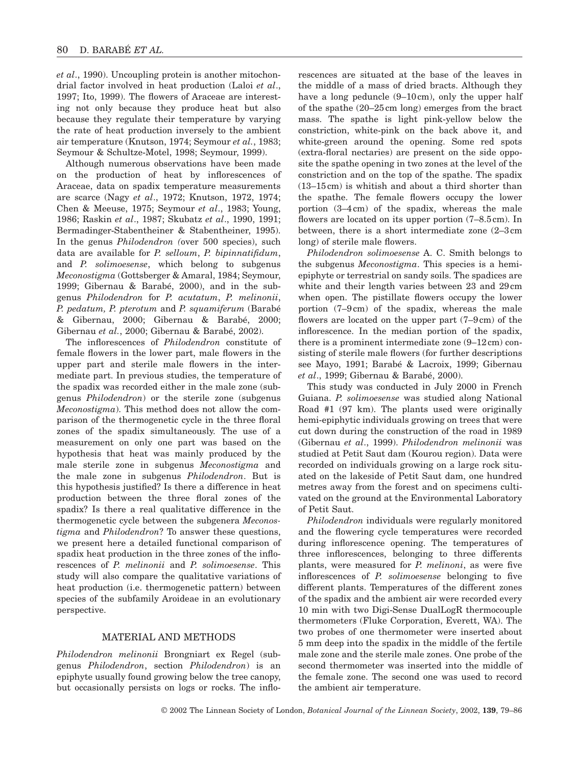*et al*., 1990). Uncoupling protein is another mitochondrial factor involved in heat production (Laloi *et al*., 1997; Ito, 1999). The flowers of Araceae are interesting not only because they produce heat but also because they regulate their temperature by varying the rate of heat production inversely to the ambient air temperature (Knutson, 1974; Seymour *et al.*, 1983; Seymour & Schultze-Motel, 1998; Seymour, 1999).

Although numerous observations have been made on the production of heat by inflorescences of Araceae, data on spadix temperature measurements are scarce (Nagy *et al*., 1972; Knutson, 1972, 1974; Chen & Meeuse, 1975; Seymour *et al*., 1983; Young, 1986; Raskin *et al*., 1987; Skubatz *et al*., 1990, 1991; Bermadinger-Stabentheiner & Stabentheiner, 1995). In the genus *Philodendron (*over 500 species), such data are available for *P. selloum*, *P. bipinnatifidum*, and *P. solimoesense*, which belong to subgenus *Meconostigma* (Gottsberger & Amaral, 1984; Seymour, 1999; Gibernau & Barabé, 2000), and in the subgenus *Philodendron* for *P. acutatum*, *P. melinonii*, *P. pedatum, P. pterotum* and *P. squamiferum* (Barabé & Gibernau, 2000; Gibernau & Barabé, 2000; Gibernau *et al.*, 2000; Gibernau & Barabé, 2002).

The inflorescences of *Philodendron* constitute of female flowers in the lower part, male flowers in the upper part and sterile male flowers in the intermediate part. In previous studies, the temperature of the spadix was recorded either in the male zone (subgenus *Philodendron*) or the sterile zone (subgenus *Meconostigma*). This method does not allow the comparison of the thermogenetic cycle in the three floral zones of the spadix simultaneously. The use of a measurement on only one part was based on the hypothesis that heat was mainly produced by the male sterile zone in subgenus *Meconostigma* and the male zone in subgenus *Philodendron*. But is this hypothesis justified? Is there a difference in heat production between the three floral zones of the spadix? Is there a real qualitative difference in the thermogenetic cycle between the subgenera *Meconostigma* and *Philodendron*? To answer these questions, we present here a detailed functional comparison of spadix heat production in the three zones of the inflorescences of *P. melinonii* and *P. solimoesense*. This study will also compare the qualitative variations of heat production (i.e. thermogenetic pattern) between species of the subfamily Aroideae in an evolutionary perspective.

# MATERIAL AND METHODS

*Philodendron melinonii* Brongniart ex Regel (subgenus *Philodendron*, section *Philodendron*) is an epiphyte usually found growing below the tree canopy, but occasionally persists on logs or rocks. The inflorescences are situated at the base of the leaves in the middle of a mass of dried bracts. Although they have a long peduncle  $(9-10 \text{ cm})$ , only the upper half of the spathe (20–25cm long) emerges from the bract mass. The spathe is light pink-yellow below the constriction, white-pink on the back above it, and white-green around the opening. Some red spots (extra-floral nectaries) are present on the side opposite the spathe opening in two zones at the level of the constriction and on the top of the spathe. The spadix (13–15cm) is whitish and about a third shorter than the spathe. The female flowers occupy the lower portion (3–4cm) of the spadix, whereas the male flowers are located on its upper portion (7–8.5cm). In between, there is a short intermediate zone (2–3cm long) of sterile male flowers.

*Philodendron solimoesense* A. C. Smith belongs to the subgenus *Meconostigma*. This species is a hemiepiphyte or terrestrial on sandy soils. The spadices are white and their length varies between 23 and 29cm when open. The pistillate flowers occupy the lower portion (7–9cm) of the spadix, whereas the male flowers are located on the upper part (7–9cm) of the inflorescence. In the median portion of the spadix, there is a prominent intermediate zone (9–12cm) consisting of sterile male flowers (for further descriptions see Mayo, 1991; Barabé & Lacroix, 1999; Gibernau *et al*., 1999; Gibernau & Barabé, 2000).

This study was conducted in July 2000 in French Guiana. *P. solimoesense* was studied along National Road #1 (97 km). The plants used were originally hemi-epiphytic individuals growing on trees that were cut down during the construction of the road in 1989 (Gibernau *et al*., 1999). *Philodendron melinonii* was studied at Petit Saut dam (Kourou region). Data were recorded on individuals growing on a large rock situated on the lakeside of Petit Saut dam, one hundred metres away from the forest and on specimens cultivated on the ground at the Environmental Laboratory of Petit Saut.

*Philodendron* individuals were regularly monitored and the flowering cycle temperatures were recorded during inflorescence opening. The temperatures of three inflorescences, belonging to three differents plants, were measured for *P. melinoni*, as were five inflorescences of *P. solimoesense* belonging to five different plants. Temperatures of the different zones of the spadix and the ambient air were recorded every 10 min with two Digi-Sense DualLogR thermocouple thermometers (Fluke Corporation, Everett, WA). The two probes of one thermometer were inserted about 5 mm deep into the spadix in the middle of the fertile male zone and the sterile male zones. One probe of the second thermometer was inserted into the middle of the female zone. The second one was used to record the ambient air temperature.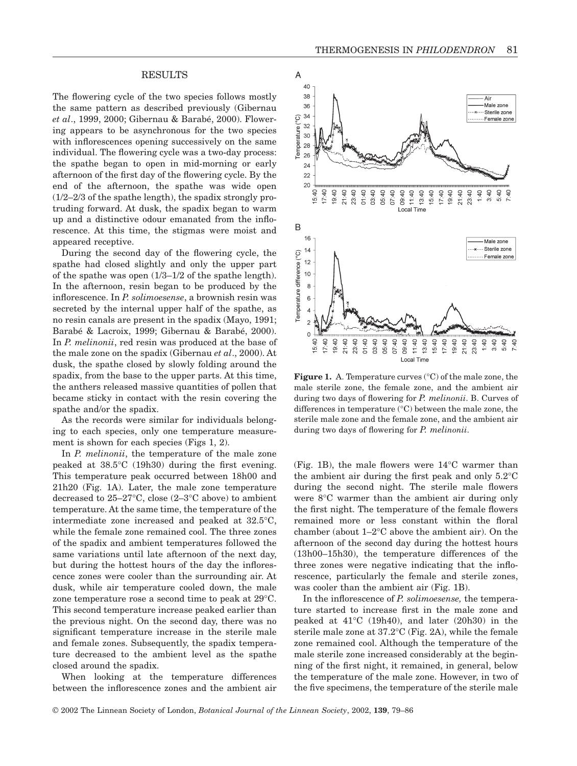# RESULTS

The flowering cycle of the two species follows mostly the same pattern as described previously (Gibernau *et al*., 1999, 2000; Gibernau & Barabé, 2000). Flowering appears to be asynchronous for the two species with inflorescences opening successively on the same individual. The flowering cycle was a two-day process: the spathe began to open in mid-morning or early afternoon of the first day of the flowering cycle. By the end of the afternoon, the spathe was wide open (1/2–2/3 of the spathe length), the spadix strongly protruding forward. At dusk, the spadix began to warm up and a distinctive odour emanated from the inflorescence. At this time, the stigmas were moist and appeared receptive.

During the second day of the flowering cycle, the spathe had closed slightly and only the upper part of the spathe was open  $(1/3-1/2)$  of the spathe length). In the afternoon, resin began to be produced by the inflorescence. In *P. solimoesense*, a brownish resin was secreted by the internal upper half of the spathe, as no resin canals are present in the spadix (Mayo, 1991; Barabé & Lacroix, 1999; Gibernau & Barabé, 2000). In *P. melinonii*, red resin was produced at the base of the male zone on the spadix (Gibernau *et al*., 2000). At dusk, the spathe closed by slowly folding around the spadix, from the base to the upper parts. At this time, the anthers released massive quantities of pollen that became sticky in contact with the resin covering the spathe and/or the spadix.

As the records were similar for individuals belonging to each species, only one temperature measurement is shown for each species (Figs 1, 2).

In *P. melinonii*, the temperature of the male zone peaked at 38.5°C (19h30) during the first evening. This temperature peak occurred between 18h00 and 21h20 (Fig. 1A). Later, the male zone temperature decreased to 25–27°C, close (2–3°C above) to ambient temperature. At the same time, the temperature of the intermediate zone increased and peaked at 32.5°C, while the female zone remained cool. The three zones of the spadix and ambient temperatures followed the same variations until late afternoon of the next day, but during the hottest hours of the day the inflorescence zones were cooler than the surrounding air. At dusk, while air temperature cooled down, the male zone temperature rose a second time to peak at 29°C. This second temperature increase peaked earlier than the previous night. On the second day, there was no significant temperature increase in the sterile male and female zones. Subsequently, the spadix temperature decreased to the ambient level as the spathe closed around the spadix.

When looking at the temperature differences between the inflorescence zones and the ambient air



**Figure 1.** A. Temperature curves (°C) of the male zone, the male sterile zone, the female zone, and the ambient air during two days of flowering for *P. melinonii*. B. Curves of differences in temperature (°C) between the male zone, the sterile male zone and the female zone, and the ambient air during two days of flowering for *P. melinonii*.

(Fig. 1B), the male flowers were 14°C warmer than the ambient air during the first peak and only 5.2°C during the second night. The sterile male flowers were 8°C warmer than the ambient air during only the first night. The temperature of the female flowers remained more or less constant within the floral chamber (about 1–2°C above the ambient air). On the afternoon of the second day during the hottest hours (13h00–15h30), the temperature differences of the three zones were negative indicating that the inflorescence, particularly the female and sterile zones, was cooler than the ambient air (Fig. 1B).

In the inflorescence of *P. solimoesense,* the temperature started to increase first in the male zone and peaked at 41°C (19h40), and later (20h30) in the sterile male zone at 37.2°C (Fig. 2A), while the female zone remained cool. Although the temperature of the male sterile zone increased considerably at the beginning of the first night, it remained, in general, below the temperature of the male zone. However, in two of the five specimens, the temperature of the sterile male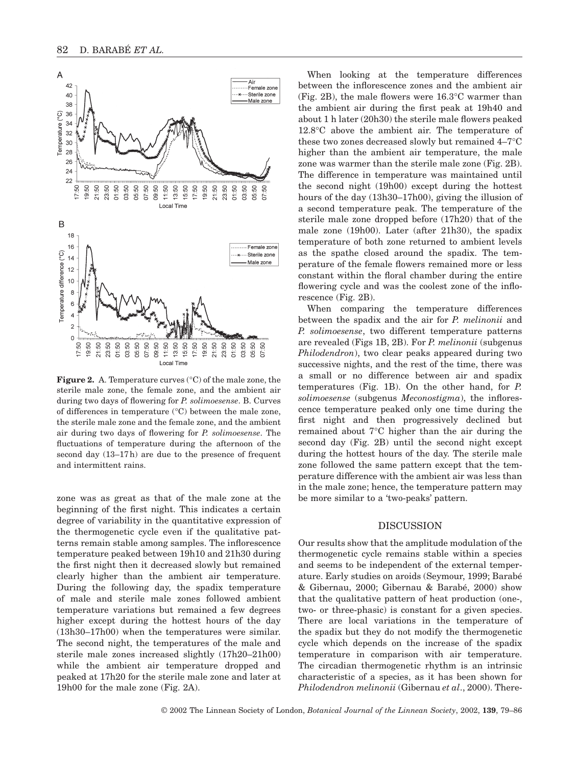

**Figure 2.** A. Temperature curves (°C) of the male zone, the sterile male zone, the female zone, and the ambient air during two days of flowering for *P. solimoesense*. B. Curves of differences in temperature (°C) between the male zone, the sterile male zone and the female zone, and the ambient air during two days of flowering for *P. solimoesense*. The fluctuations of temperature during the afternoon of the second day (13–17h) are due to the presence of frequent and intermittent rains.

zone was as great as that of the male zone at the beginning of the first night. This indicates a certain degree of variability in the quantitative expression of the thermogenetic cycle even if the qualitative patterns remain stable among samples. The inflorescence temperature peaked between 19h10 and 21h30 during the first night then it decreased slowly but remained clearly higher than the ambient air temperature. During the following day, the spadix temperature of male and sterile male zones followed ambient temperature variations but remained a few degrees higher except during the hottest hours of the day (13h30–17h00) when the temperatures were similar. The second night, the temperatures of the male and sterile male zones increased slightly (17h20–21h00) while the ambient air temperature dropped and peaked at 17h20 for the sterile male zone and later at 19h00 for the male zone (Fig. 2A).

When looking at the temperature differences between the inflorescence zones and the ambient air (Fig. 2B), the male flowers were 16.3°C warmer than the ambient air during the first peak at 19h40 and about 1 h later (20h30) the sterile male flowers peaked 12.8°C above the ambient air. The temperature of these two zones decreased slowly but remained 4–7°C higher than the ambient air temperature, the male zone was warmer than the sterile male zone (Fig. 2B). The difference in temperature was maintained until the second night (19h00) except during the hottest hours of the day (13h30–17h00), giving the illusion of a second temperature peak. The temperature of the sterile male zone dropped before (17h20) that of the male zone (19h00). Later (after 21h30), the spadix temperature of both zone returned to ambient levels as the spathe closed around the spadix. The temperature of the female flowers remained more or less constant within the floral chamber during the entire flowering cycle and was the coolest zone of the inflorescence (Fig. 2B).

When comparing the temperature differences between the spadix and the air for *P. melinonii* and *P. solimoesense*, two different temperature patterns are revealed (Figs 1B, 2B). For *P. melinonii* (subgenus *Philodendron*), two clear peaks appeared during two successive nights, and the rest of the time, there was a small or no difference between air and spadix temperatures (Fig. 1B). On the other hand, for *P. solimoesense* (subgenus *Meconostigma*), the inflorescence temperature peaked only one time during the first night and then progressively declined but remained about 7°C higher than the air during the second day (Fig. 2B) until the second night except during the hottest hours of the day. The sterile male zone followed the same pattern except that the temperature difference with the ambient air was less than in the male zone; hence, the temperature pattern may be more similar to a 'two-peaks' pattern.

#### DISCUSSION

Our results show that the amplitude modulation of the thermogenetic cycle remains stable within a species and seems to be independent of the external temperature. Early studies on aroids (Seymour, 1999; Barabé & Gibernau, 2000; Gibernau & Barabé, 2000) show that the qualitative pattern of heat production (one-, two- or three-phasic) is constant for a given species. There are local variations in the temperature of the spadix but they do not modify the thermogenetic cycle which depends on the increase of the spadix temperature in comparison with air temperature. The circadian thermogenetic rhythm is an intrinsic characteristic of a species, as it has been shown for *Philodendron melinonii* (Gibernau *et al*., 2000). There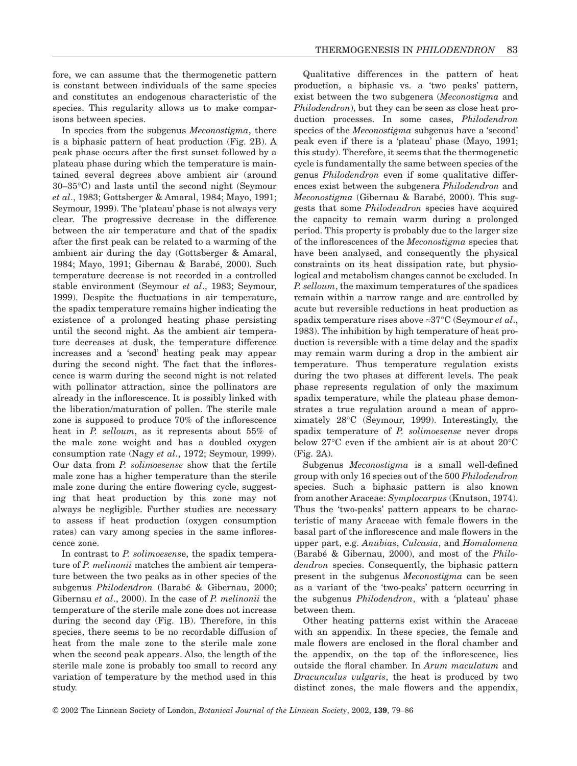fore, we can assume that the thermogenetic pattern is constant between individuals of the same species and constitutes an endogenous characteristic of the species. This regularity allows us to make comparisons between species.

In species from the subgenus *Meconostigma*, there is a biphasic pattern of heat production (Fig. 2B). A peak phase occurs after the first sunset followed by a plateau phase during which the temperature is maintained several degrees above ambient air (around 30–35°C) and lasts until the second night (Seymour *et al*., 1983; Gottsberger & Amaral, 1984; Mayo, 1991; Seymour, 1999). The 'plateau' phase is not always very clear. The progressive decrease in the difference between the air temperature and that of the spadix after the first peak can be related to a warming of the ambient air during the day (Gottsberger & Amaral, 1984; Mayo, 1991; Gibernau & Barabé, 2000). Such temperature decrease is not recorded in a controlled stable environment (Seymour *et al*., 1983; Seymour, 1999). Despite the fluctuations in air temperature, the spadix temperature remains higher indicating the existence of a prolonged heating phase persisting until the second night. As the ambient air temperature decreases at dusk, the temperature difference increases and a 'second' heating peak may appear during the second night. The fact that the inflorescence is warm during the second night is not related with pollinator attraction, since the pollinators are already in the inflorescence. It is possibly linked with the liberation/maturation of pollen. The sterile male zone is supposed to produce 70% of the inflorescence heat in *P. selloum*, as it represents about 55% of the male zone weight and has a doubled oxygen consumption rate (Nagy *et al*., 1972; Seymour, 1999). Our data from *P. solimoesense* show that the fertile male zone has a higher temperature than the sterile male zone during the entire flowering cycle, suggesting that heat production by this zone may not always be negligible. Further studies are necessary to assess if heat production (oxygen consumption rates) can vary among species in the same inflorescence zone.

In contrast to *P. solimoesens*e, the spadix temperature of *P. melinonii* matches the ambient air temperature between the two peaks as in other species of the subgenus *Philodendron* (Barabé & Gibernau, 2000; Gibernau *et al*., 2000). In the case of *P. melinonii* the temperature of the sterile male zone does not increase during the second day (Fig. 1B). Therefore, in this species, there seems to be no recordable diffusion of heat from the male zone to the sterile male zone when the second peak appears. Also, the length of the sterile male zone is probably too small to record any variation of temperature by the method used in this study.

Qualitative differences in the pattern of heat production, a biphasic vs. a 'two peaks' pattern, exist between the two subgenera (*Meconostigma* and *Philodendron*), but they can be seen as close heat production processes. In some cases, *Philodendron* species of the *Meconostigma* subgenus have a 'second' peak even if there is a 'plateau' phase (Mayo, 1991; this study). Therefore, it seems that the thermogenetic cycle is fundamentally the same between species of the genus *Philodendron* even if some qualitative differences exist between the subgenera *Philodendron* and *Meconostigma* (Gibernau & Barabé, 2000). This suggests that some *Philodendron* species have acquired the capacity to remain warm during a prolonged period. This property is probably due to the larger size of the inflorescences of the *Meconostigma* species that have been analysed, and consequently the physical constraints on its heat dissipation rate, but physiological and metabolism changes cannot be excluded. In *P. selloum*, the maximum temperatures of the spadices remain within a narrow range and are controlled by acute but reversible reductions in heat production as spadix temperature rises above  $\approx 37^{\circ}$ C (Seymour *et al.*, 1983). The inhibition by high temperature of heat production is reversible with a time delay and the spadix may remain warm during a drop in the ambient air temperature. Thus temperature regulation exists during the two phases at different levels. The peak phase represents regulation of only the maximum spadix temperature, while the plateau phase demonstrates a true regulation around a mean of approximately 28°C (Seymour, 1999). Interestingly, the spadix temperature of *P. solimoesense* never drops below 27°C even if the ambient air is at about 20°C (Fig. 2A).

Subgenus *Meconostigma* is a small well-defined group with only 16 species out of the 500 *Philodendron* species. Such a biphasic pattern is also known from another Araceae: *Symplocarpus* (Knutson, 1974). Thus the 'two-peaks' pattern appears to be characteristic of many Araceae with female flowers in the basal part of the inflorescence and male flowers in the upper part, e.g. *Anubias*, *Culcasia*, and *Homalomena* (Barabé & Gibernau, 2000), and most of the *Philodendron* species. Consequently, the biphasic pattern present in the subgenus *Meconostigma* can be seen as a variant of the 'two-peaks' pattern occurring in the subgenus *Philodendron*, with a 'plateau' phase between them.

Other heating patterns exist within the Araceae with an appendix. In these species, the female and male flowers are enclosed in the floral chamber and the appendix, on the top of the inflorescence, lies outside the floral chamber. In *Arum maculatum* and *Dracunculus vulgaris*, the heat is produced by two distinct zones, the male flowers and the appendix,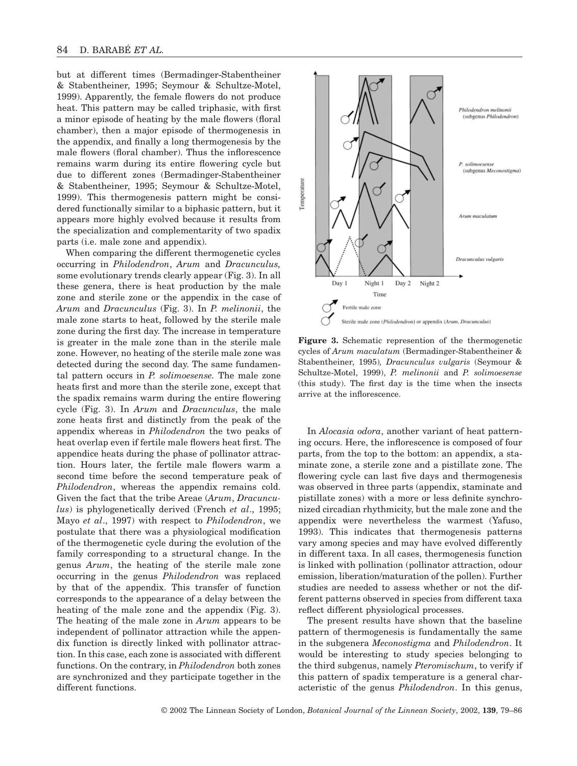but at different times (Bermadinger-Stabentheiner & Stabentheiner, 1995; Seymour & Schultze-Motel, 1999). Apparently, the female flowers do not produce heat. This pattern may be called triphasic, with first a minor episode of heating by the male flowers (floral chamber), then a major episode of thermogenesis in the appendix, and finally a long thermogenesis by the male flowers (floral chamber). Thus the inflorescence remains warm during its entire flowering cycle but due to different zones (Bermadinger-Stabentheiner & Stabentheiner, 1995; Seymour & Schultze-Motel, 1999). This thermogenesis pattern might be considered functionally similar to a biphasic pattern, but it appears more highly evolved because it results from the specialization and complementarity of two spadix parts (i.e. male zone and appendix).

When comparing the different thermogenetic cycles occurring in *Philodendron*, *Arum* and *Dracunculus,* some evolutionary trends clearly appear (Fig. 3). In all these genera, there is heat production by the male zone and sterile zone or the appendix in the case of *Arum* and *Dracunculus* (Fig. 3). In *P. melinonii*, the male zone starts to heat, followed by the sterile male zone during the first day. The increase in temperature is greater in the male zone than in the sterile male zone. However, no heating of the sterile male zone was detected during the second day. The same fundamental pattern occurs in *P. solimoesense.* The male zone heats first and more than the sterile zone, except that the spadix remains warm during the entire flowering cycle (Fig. 3). In *Arum* and *Dracunculus*, the male zone heats first and distinctly from the peak of the appendix whereas in *Philodendron* the two peaks of heat overlap even if fertile male flowers heat first. The appendice heats during the phase of pollinator attraction. Hours later, the fertile male flowers warm a second time before the second temperature peak of *Philodendron*, whereas the appendix remains cold. Given the fact that the tribe Areae (*Arum*, *Dracunculus*) is phylogenetically derived (French *et al*., 1995; Mayo *et al*., 1997) with respect to *Philodendron*, we postulate that there was a physiological modification of the thermogenetic cycle during the evolution of the family corresponding to a structural change. In the genus *Arum*, the heating of the sterile male zone occurring in the genus *Philodendron* was replaced by that of the appendix. This transfer of function corresponds to the appearance of a delay between the heating of the male zone and the appendix (Fig. 3). The heating of the male zone in *Arum* appears to be independent of pollinator attraction while the appendix function is directly linked with pollinator attraction. In this case, each zone is associated with different functions. On the contrary, in *Philodendron* both zones are synchronized and they participate together in the different functions.



**Figure 3.** Schematic represention of the thermogenetic cycles of *Arum maculatum* (Bermadinger-Stabentheiner & Stabentheiner, 1995)*, Dracunculus vulgaris* (Seymour & Schultze-Motel, 1999), *P. melinonii* and *P. solimoesense* (this study). The first day is the time when the insects arrive at the inflorescence.

In *Alocasia odora*, another variant of heat patterning occurs. Here, the inflorescence is composed of four parts, from the top to the bottom: an appendix, a staminate zone, a sterile zone and a pistillate zone. The flowering cycle can last five days and thermogenesis was observed in three parts (appendix, staminate and pistillate zones) with a more or less definite synchronized circadian rhythmicity, but the male zone and the appendix were nevertheless the warmest (Yafuso, 1993). This indicates that thermogenesis patterns vary among species and may have evolved differently in different taxa. In all cases, thermogenesis function is linked with pollination (pollinator attraction, odour emission, liberation/maturation of the pollen). Further studies are needed to assess whether or not the different patterns observed in species from different taxa reflect different physiological processes.

The present results have shown that the baseline pattern of thermogenesis is fundamentally the same in the subgenera *Meconostigma* and *Philodendron*. It would be interesting to study species belonging to the third subgenus, namely *Pteromischum*, to verify if this pattern of spadix temperature is a general characteristic of the genus *Philodendron*. In this genus,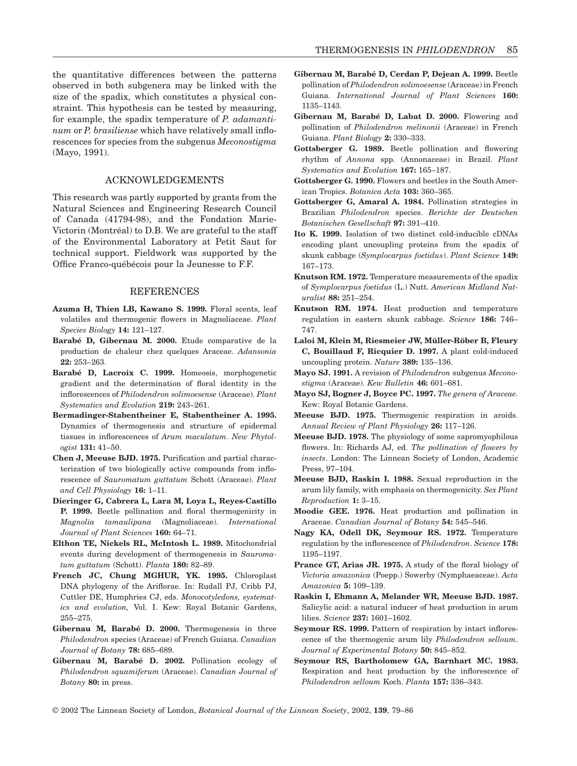the quantitative differences between the patterns observed in both subgenera may be linked with the size of the spadix, which constitutes a physical constraint. This hypothesis can be tested by measuring, for example, the spadix temperature of *P. adamantinum* or *P. brasiliense* which have relatively small inflorescences for species from the subgenus *Meconostigma* (Mayo, 1991).

# ACKNOWLEDGEMENTS

This research was partly supported by grants from the Natural Sciences and Engineering Research Council of Canada (41794-98), and the Fondation Marie-Victorin (Montréal) to D.B. We are grateful to the staff of the Environmental Laboratory at Petit Saut for technical support. Fieldwork was supported by the Office Franco-québécois pour la Jeunesse to F.F.

## REFERENCES

- **Azuma H, Thien LB, Kawano S. 1999.** Floral scents, leaf volatiles and thermogenic flowers in Magnoliaceae. *Plant Species Biology* **14:** 121–127.
- **Barabé D, Gibernau M. 2000.** Etude comparative de la production de chaleur chez quelques Araceae. *Adansonia* **22:** 253–263.
- **Barabé D, Lacroix C. 1999.** Homeosis, morphogenetic gradient and the determination of floral identity in the inflorescences of *Philodendron solimoesense* (Araceae). *Plant Systematics and Evolution* **219:** 243–261.
- **Bermadinger-Stabentheiner E, Stabentheiner A. 1995.** Dynamics of thermogenesis and structure of epidermal tissues in inflorescences of *Arum maculatum*. *New Phytologist* **131:** 41–50.
- **Chen J, Meeuse BJD. 1975.** Purification and partial characterization of two biologically active compounds from inflorescence of *Sauromatum guttatum* Schott (Araceae). *Plant and Cell Physiology* **16:** 1–11.
- **Dieringer G, Cabrera L, Lara M, Loya L, Reyes-Castillo P. 1999.** Beetle pollination and floral thermogenicity in *Magnolia tamaulipana* (Magnoliaceae). *International Journal of Plant Sciences* **160:** 64–71.
- **Elthon TE, Nickels RL, McIntosh L. 1989.** Mitochondrial events during development of thermogenesis in *Sauromatum guttatum* (Schott). *Planta* **180:** 82–89.
- **French JC, Chung MGHUR, YK. 1995.** Chloroplast DNA phylogeny of the Ariflorae. In: Rudall PJ, Cribb PJ, Cuttler DE, Humphries CJ, eds. *Monocotyledons, systematics and evolution,* Vol. I. Kew: Royal Botanic Gardens, 255–275.
- **Gibernau M, Barabé D. 2000.** Thermogenesis in three *Philodendron* species (Araceae) of French Guiana. *Canadian Journal of Botany* **78:** 685–689.
- **Gibernau M, Barabé D. 2002.** Pollination ecology of *Philodendron squamiferum* (Araceae). *Canadian Journal of Botany* **80:** in press.
- **Gibernau M, Barabé D, Cerdan P, Dejean A. 1999.** Beetle pollination of *Philodendron solimoesense* (Araceae) in French Guiana. *International Journal of Plant Sciences* **160:** 1135–1143.
- **Gibernau M, Barabé D, Labat D. 2000.** Flowering and pollination of *Philodendron melinonii* (Araceae) in French Guiana. *Plant Biology* **2:** 330–333.
- **Gottsberger G. 1989.** Beetle pollination and flowering rhythm of *Annona* spp. (Annonaceae) in Brazil. *Plant Systematics and Evolution* **167:** 165–187.
- **Gottsberger G. 1990.** Flowers and beetles in the South American Tropics. *Botanica Acta* **103:** 360–365.
- **Gottsberger G, Amaral A. 1984.** Pollination strategies in Brazilian *Philodendron* species. *Berichte der Deutschen Botanischen Gesellschaft* **97:** 391–410.
- **Ito K. 1999.** Isolation of two distinct cold-inducible cDNAs encoding plant uncoupling proteins from the spadix of skunk cabbage (*Symplocarpus foetidus*). *Plant Science* **149:** 167–173.
- **Knutson RM. 1972.** Temperature measurements of the spadix of *Symplocarpus foetidus* (L.) Nutt. *American Midland Naturalist* **88:** 251–254.
- **Knutson RM. 1974.** Heat production and temperature regulation in eastern skunk cabbage. *Science* **186:** 746– 747.
- **Laloi M, Klein M, Riesmeier JW, Müller-Röber B, Fleury C, Bouillaud F, Ricquier D. 1997.** A plant cold-induced uncoupling protein. *Nature* **389:** 135–136.
- **Mayo SJ. 1991.** A revision of *Philodendron* subgenus *Meconostigma* (Araceae). *Kew Bulletin* **46:** 601–681.
- **Mayo SJ, Bogner J, Boyce PC. 1997.** *The genera of Araceae.* Kew: Royal Botanic Gardens.
- **Meeuse BJD. 1975.** Thermogenic respiration in aroids. *Annual Review of Plant Physiology* **26:** 117–126.
- **Meeuse BJD. 1978.** The physiology of some sapromyophilous flowers. In: Richards AJ, ed. *The pollination of flowers by insects*. London: The Linnean Society of London, Academic Press, 97–104.
- **Meeuse BJD, Raskin I. 1988.** Sexual reproduction in the arum lily family, with emphasis on thermogenicity. *Sex Plant Reproduction* **1:** 3–15.
- **Moodie GEE. 1976.** Heat production and pollination in Araceae. *Canadian Journal of Botany* **54:** 545–546.
- **Nagy KA, Odell DK, Seymour RS. 1972.** Temperature regulation by the inflorescence of *Philodendron*. *Science* **178:** 1195–1197.
- **Prance GT, Arias JR. 1975.** A study of the floral biology of *Victoria amazonica* (Poepp.) Sowerby (Nymphaeaceae). *Acta Amazonica* **5:** 109–139.
- **Raskin I, Ehmann A, Melander WR, Meeuse BJD. 1987.** Salicylic acid: a natural inducer of heat production in arum lilies. *Science* **237:** 1601–1602.
- **Seymour RS. 1999.** Pattern of respiration by intact inflorescence of the thermogenic arum lily *Philodendron selloum*. *Journal of Experimental Botany* **50:** 845–852.
- **Seymour RS, Bartholomew GA, Barnhart MC. 1983.** Respiration and heat production by the inflorescence of *Philodendron selloum* Koch. *Planta* **157:** 336–343.